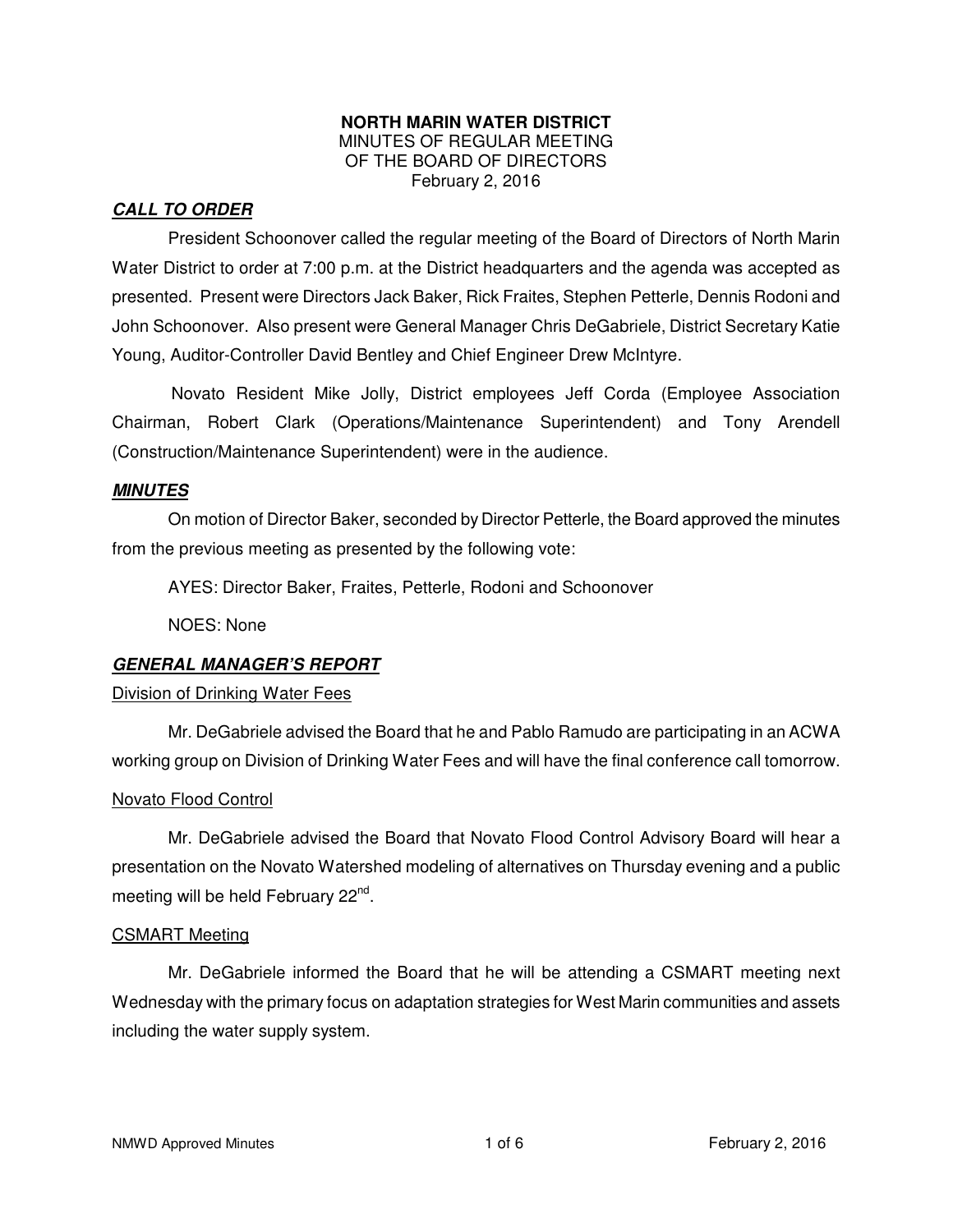#### **NORTH MARIN WATER DISTRICT**  MINUTES OF REGULAR MEETING OF THE BOARD OF DIRECTORS February 2, 2016

### **CALL TO ORDER**

President Schoonover called the regular meeting of the Board of Directors of North Marin Water District to order at 7:00 p.m. at the District headquarters and the agenda was accepted as presented. Present were Directors Jack Baker, Rick Fraites, Stephen Petterle, Dennis Rodoni and John Schoonover. Also present were General Manager Chris DeGabriele, District Secretary Katie Young, Auditor-Controller David Bentley and Chief Engineer Drew McIntyre.

Novato Resident Mike Jolly, District employees Jeff Corda (Employee Association Chairman, Robert Clark (Operations/Maintenance Superintendent) and Tony Arendell (Construction/Maintenance Superintendent) were in the audience.

#### **MINUTES**

 On motion of Director Baker, seconded by Director Petterle, the Board approved the minutes from the previous meeting as presented by the following vote:

AYES: Director Baker, Fraites, Petterle, Rodoni and Schoonover

NOES: None

#### **GENERAL MANAGER'S REPORT**

#### Division of Drinking Water Fees

 Mr. DeGabriele advised the Board that he and Pablo Ramudo are participating in an ACWA working group on Division of Drinking Water Fees and will have the final conference call tomorrow.

#### Novato Flood Control

 Mr. DeGabriele advised the Board that Novato Flood Control Advisory Board will hear a presentation on the Novato Watershed modeling of alternatives on Thursday evening and a public meeting will be held February 22<sup>nd</sup>.

#### CSMART Meeting

 Mr. DeGabriele informed the Board that he will be attending a CSMART meeting next Wednesday with the primary focus on adaptation strategies for West Marin communities and assets including the water supply system.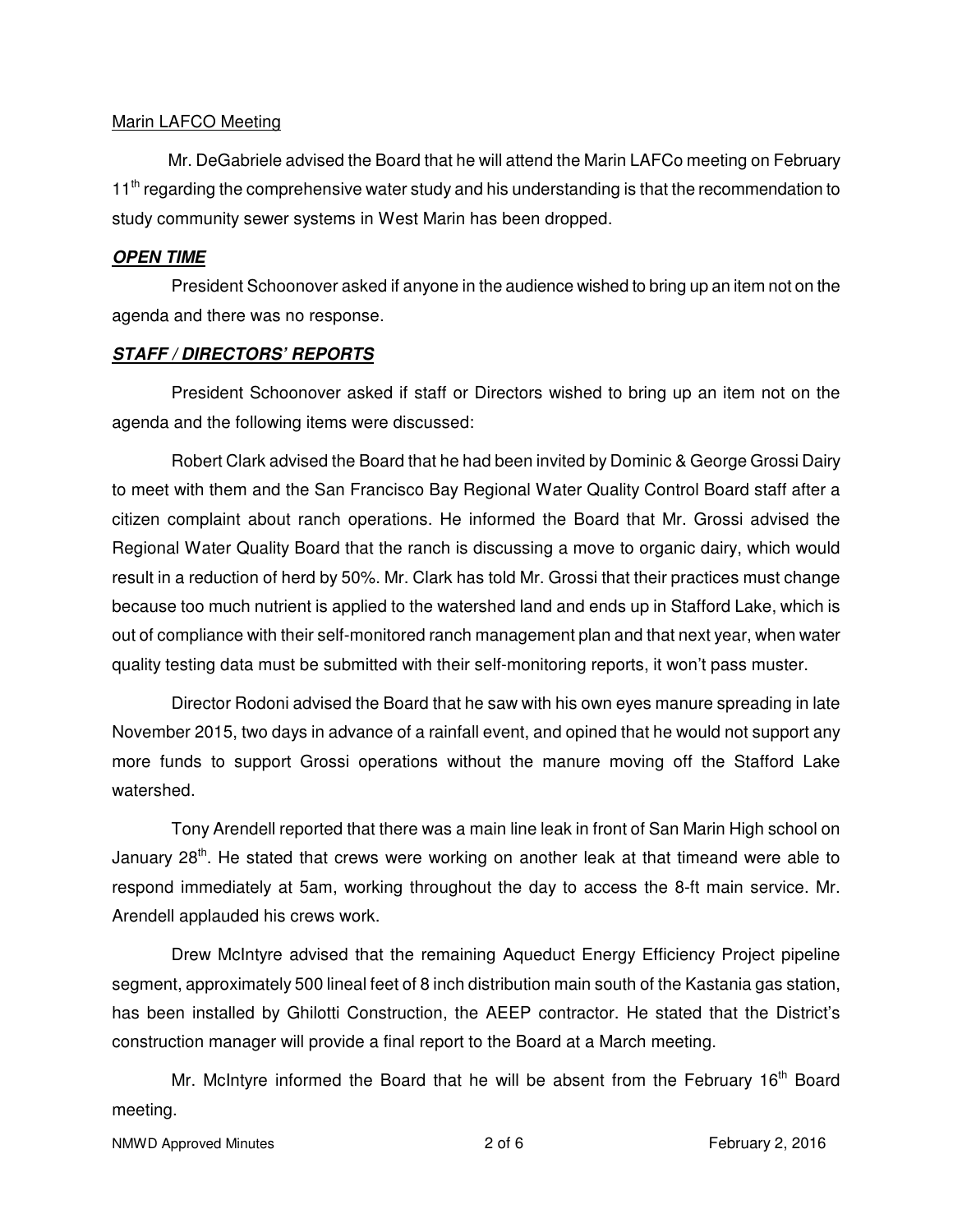#### Marin LAFCO Meeting

 Mr. DeGabriele advised the Board that he will attend the Marin LAFCo meeting on February 11<sup>th</sup> regarding the comprehensive water study and his understanding is that the recommendation to study community sewer systems in West Marin has been dropped.

#### **OPEN TIME**

President Schoonover asked if anyone in the audience wished to bring up an item not on the agenda and there was no response.

#### **STAFF / DIRECTORS' REPORTS**

President Schoonover asked if staff or Directors wished to bring up an item not on the agenda and the following items were discussed:

Robert Clark advised the Board that he had been invited by Dominic & George Grossi Dairy to meet with them and the San Francisco Bay Regional Water Quality Control Board staff after a citizen complaint about ranch operations. He informed the Board that Mr. Grossi advised the Regional Water Quality Board that the ranch is discussing a move to organic dairy, which would result in a reduction of herd by 50%. Mr. Clark has told Mr. Grossi that their practices must change because too much nutrient is applied to the watershed land and ends up in Stafford Lake, which is out of compliance with their self-monitored ranch management plan and that next year, when water quality testing data must be submitted with their self-monitoring reports, it won't pass muster.

Director Rodoni advised the Board that he saw with his own eyes manure spreading in late November 2015, two days in advance of a rainfall event, and opined that he would not support any more funds to support Grossi operations without the manure moving off the Stafford Lake watershed.

Tony Arendell reported that there was a main line leak in front of San Marin High school on January  $28<sup>th</sup>$ . He stated that crews were working on another leak at that timeand were able to respond immediately at 5am, working throughout the day to access the 8-ft main service. Mr. Arendell applauded his crews work.

Drew McIntyre advised that the remaining Aqueduct Energy Efficiency Project pipeline segment, approximately 500 lineal feet of 8 inch distribution main south of the Kastania gas station, has been installed by Ghilotti Construction, the AEEP contractor. He stated that the District's construction manager will provide a final report to the Board at a March meeting.

Mr. McIntyre informed the Board that he will be absent from the February  $16<sup>th</sup>$  Board meeting.

```
NMWD Approved Minutes 2 of 6 February 2, 2016
```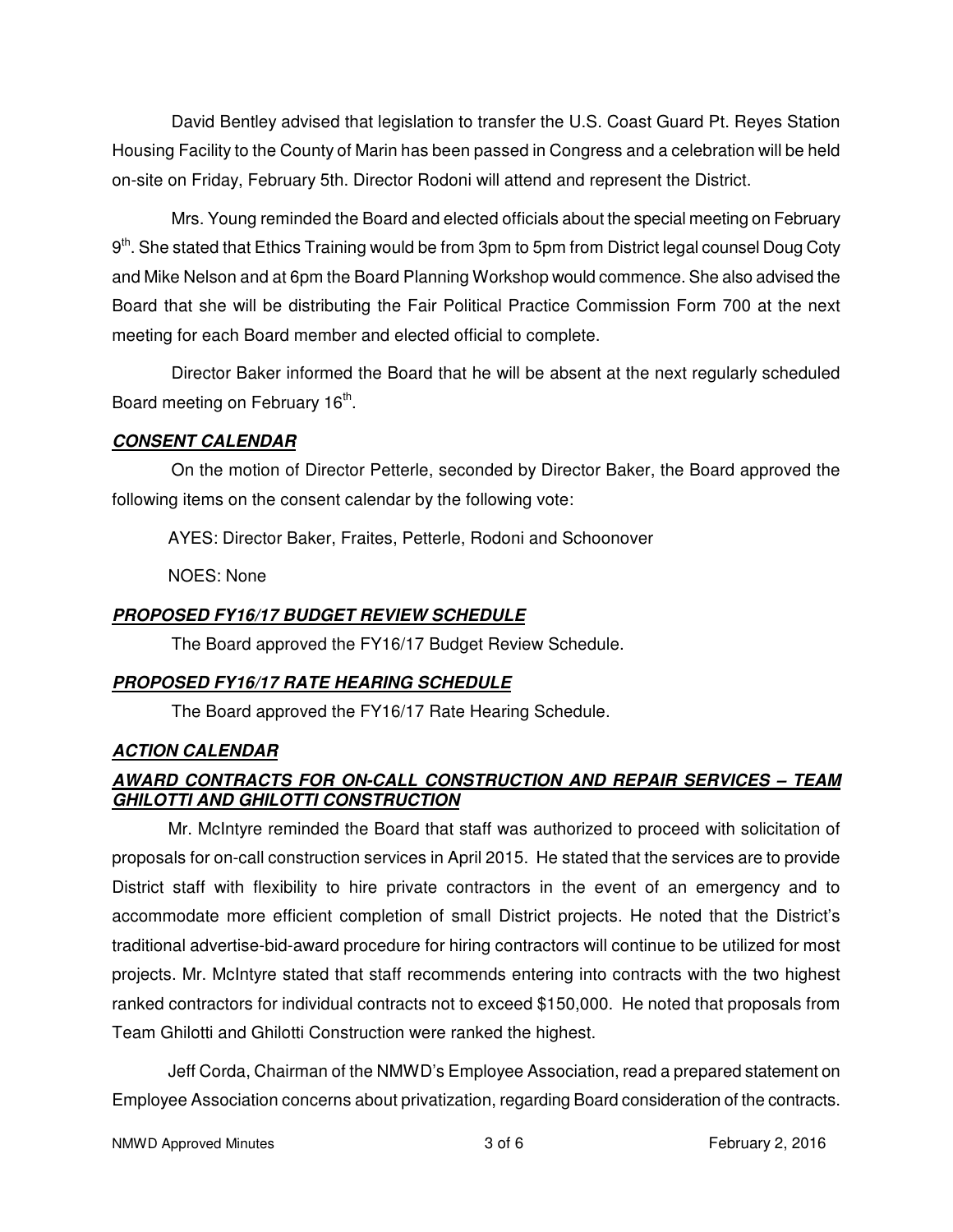David Bentley advised that legislation to transfer the U.S. Coast Guard Pt. Reyes Station Housing Facility to the County of Marin has been passed in Congress and a celebration will be held on-site on Friday, February 5th. Director Rodoni will attend and represent the District.

Mrs. Young reminded the Board and elected officials about the special meeting on February 9<sup>th</sup>. She stated that Ethics Training would be from 3pm to 5pm from District legal counsel Doug Coty and Mike Nelson and at 6pm the Board Planning Workshop would commence. She also advised the Board that she will be distributing the Fair Political Practice Commission Form 700 at the next meeting for each Board member and elected official to complete.

Director Baker informed the Board that he will be absent at the next regularly scheduled Board meeting on February 16<sup>th</sup>.

# **CONSENT CALENDAR**

On the motion of Director Petterle, seconded by Director Baker, the Board approved the following items on the consent calendar by the following vote:

AYES: Director Baker, Fraites, Petterle, Rodoni and Schoonover

NOES: None

# **PROPOSED FY16/17 BUDGET REVIEW SCHEDULE**

The Board approved the FY16/17 Budget Review Schedule.

# **PROPOSED FY16/17 RATE HEARING SCHEDULE**

The Board approved the FY16/17 Rate Hearing Schedule.

# **ACTION CALENDAR**

# **AWARD CONTRACTS FOR ON-CALL CONSTRUCTION AND REPAIR SERVICES – TEAM GHILOTTI AND GHILOTTI CONSTRUCTION**

 Mr. McIntyre reminded the Board that staff was authorized to proceed with solicitation of proposals for on-call construction services in April 2015. He stated that the services are to provide District staff with flexibility to hire private contractors in the event of an emergency and to accommodate more efficient completion of small District projects. He noted that the District's traditional advertise-bid-award procedure for hiring contractors will continue to be utilized for most projects. Mr. McIntyre stated that staff recommends entering into contracts with the two highest ranked contractors for individual contracts not to exceed \$150,000. He noted that proposals from Team Ghilotti and Ghilotti Construction were ranked the highest.

 Jeff Corda, Chairman of the NMWD's Employee Association, read a prepared statement on Employee Association concerns about privatization, regarding Board consideration of the contracts.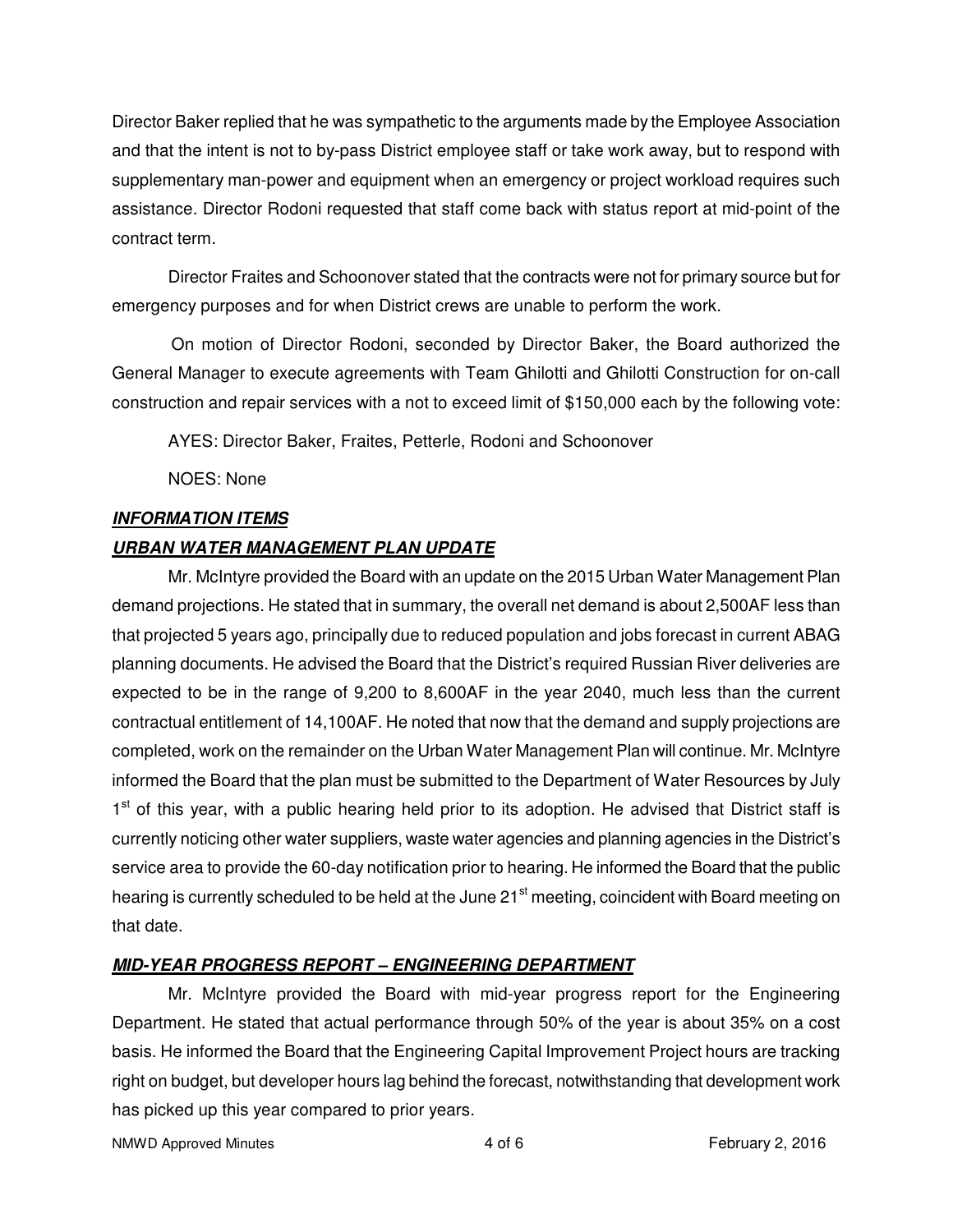Director Baker replied that he was sympathetic to the arguments made by the Employee Association and that the intent is not to by-pass District employee staff or take work away, but to respond with supplementary man-power and equipment when an emergency or project workload requires such assistance. Director Rodoni requested that staff come back with status report at mid-point of the contract term.

 Director Fraites and Schoonover stated that the contracts were not for primary source but for emergency purposes and for when District crews are unable to perform the work.

On motion of Director Rodoni, seconded by Director Baker, the Board authorized the General Manager to execute agreements with Team Ghilotti and Ghilotti Construction for on-call construction and repair services with a not to exceed limit of \$150,000 each by the following vote:

AYES: Director Baker, Fraites, Petterle, Rodoni and Schoonover

NOES: None

### **INFORMATION ITEMS**

# **URBAN WATER MANAGEMENT PLAN UPDATE**

Mr. McIntyre provided the Board with an update on the 2015 Urban Water Management Plan demand projections. He stated that in summary, the overall net demand is about 2,500AF less than that projected 5 years ago, principally due to reduced population and jobs forecast in current ABAG planning documents. He advised the Board that the District's required Russian River deliveries are expected to be in the range of 9,200 to 8,600AF in the year 2040, much less than the current contractual entitlement of 14,100AF. He noted that now that the demand and supply projections are completed, work on the remainder on the Urban Water Management Plan will continue. Mr. McIntyre informed the Board that the plan must be submitted to the Department of Water Resources by July 1<sup>st</sup> of this year, with a public hearing held prior to its adoption. He advised that District staff is currently noticing other water suppliers, waste water agencies and planning agencies in the District's service area to provide the 60-day notification prior to hearing. He informed the Board that the public hearing is currently scheduled to be held at the June 21<sup>st</sup> meeting, coincident with Board meeting on that date.

# **MID-YEAR PROGRESS REPORT – ENGINEERING DEPARTMENT**

 Mr. McIntyre provided the Board with mid-year progress report for the Engineering Department. He stated that actual performance through 50% of the year is about 35% on a cost basis. He informed the Board that the Engineering Capital Improvement Project hours are tracking right on budget, but developer hours lag behind the forecast, notwithstanding that development work has picked up this year compared to prior years.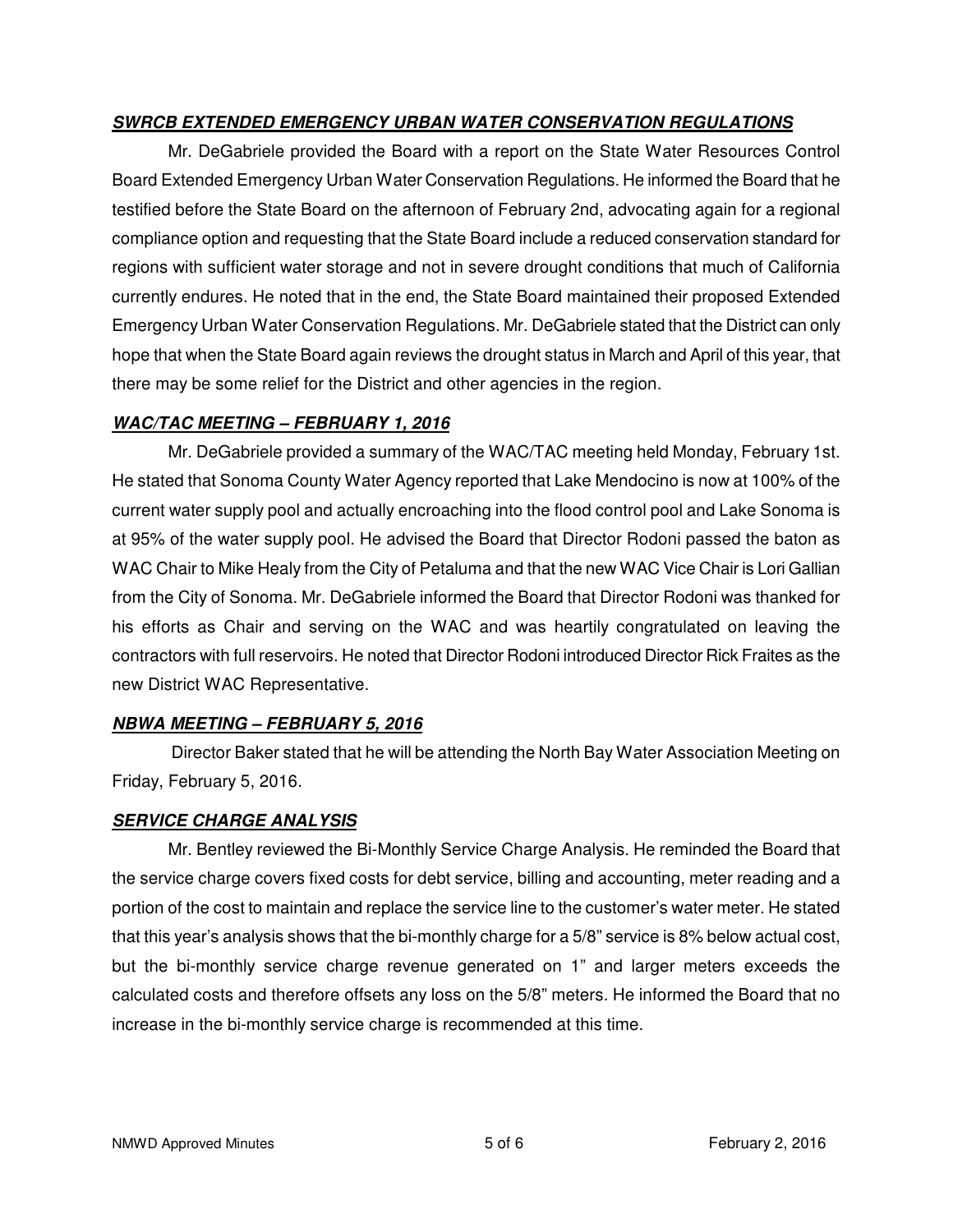# **SWRCB EXTENDED EMERGENCY URBAN WATER CONSERVATION REGULATIONS**

 Mr. DeGabriele provided the Board with a report on the State Water Resources Control Board Extended Emergency Urban Water Conservation Regulations. He informed the Board that he testified before the State Board on the afternoon of February 2nd, advocating again for a regional compliance option and requesting that the State Board include a reduced conservation standard for regions with sufficient water storage and not in severe drought conditions that much of California currently endures. He noted that in the end, the State Board maintained their proposed Extended Emergency Urban Water Conservation Regulations. Mr. DeGabriele stated that the District can only hope that when the State Board again reviews the drought status in March and April of this year, that there may be some relief for the District and other agencies in the region.

### **WAC/TAC MEETING – FEBRUARY 1, 2016**

 Mr. DeGabriele provided a summary of the WAC/TAC meeting held Monday, February 1st. He stated that Sonoma County Water Agency reported that Lake Mendocino is now at 100% of the current water supply pool and actually encroaching into the flood control pool and Lake Sonoma is at 95% of the water supply pool. He advised the Board that Director Rodoni passed the baton as WAC Chair to Mike Healy from the City of Petaluma and that the new WAC Vice Chair is Lori Gallian from the City of Sonoma. Mr. DeGabriele informed the Board that Director Rodoni was thanked for his efforts as Chair and serving on the WAC and was heartily congratulated on leaving the contractors with full reservoirs. He noted that Director Rodoni introduced Director Rick Fraites as the new District WAC Representative.

# **NBWA MEETING – FEBRUARY 5, 2016**

Director Baker stated that he will be attending the North Bay Water Association Meeting on Friday, February 5, 2016.

#### **SERVICE CHARGE ANALYSIS**

 Mr. Bentley reviewed the Bi-Monthly Service Charge Analysis. He reminded the Board that the service charge covers fixed costs for debt service, billing and accounting, meter reading and a portion of the cost to maintain and replace the service line to the customer's water meter. He stated that this year's analysis shows that the bi-monthly charge for a 5/8" service is 8% below actual cost, but the bi-monthly service charge revenue generated on 1" and larger meters exceeds the calculated costs and therefore offsets any loss on the 5/8" meters. He informed the Board that no increase in the bi-monthly service charge is recommended at this time.